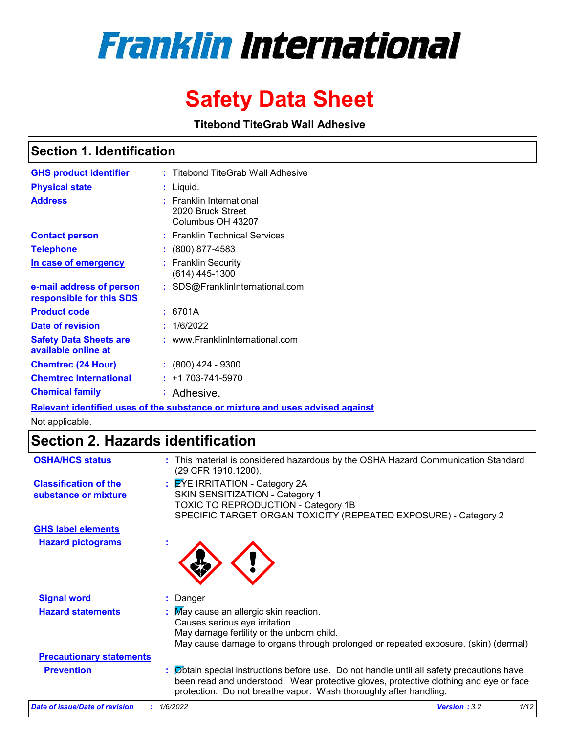# **Franklin International**

# **Safety Data Sheet**

**Titebond TiteGrab Wall Adhesive**

## **Section 1. Identification**

| <b>GHS product identifier</b>                        | : Titebond TiteGrab Wall Adhesive                                  |
|------------------------------------------------------|--------------------------------------------------------------------|
| <b>Physical state</b>                                | : Liquid.                                                          |
| <b>Address</b>                                       | : Franklin International<br>2020 Bruck Street<br>Columbus OH 43207 |
| <b>Contact person</b>                                | : Franklin Technical Services                                      |
| <b>Telephone</b>                                     | $\colon$ (800) 877-4583                                            |
| In case of emergency                                 | : Franklin Security<br>$(614)$ 445-1300                            |
| e-mail address of person<br>responsible for this SDS | : SDS@FranklinInternational.com                                    |
| <b>Product code</b>                                  | 6701A                                                              |
| Date of revision                                     | 1/6/2022                                                           |
| <b>Safety Data Sheets are</b><br>available online at | : www.FranklinInternational.com                                    |
| <b>Chemtrec (24 Hour)</b>                            | $: (800)$ 424 - 9300                                               |
| <b>Chemtrec International</b>                        | $: +1703 - 741 - 5970$                                             |
| <b>Chemical family</b>                               | : Adhesive.                                                        |

**Relevant identified uses of the substance or mixture and uses advised against**

Not applicable.

# **Section 2. Hazards identification**

| <b>OSHA/HCS status</b>                               | This material is considered hazardous by the OSHA Hazard Communication Standard<br>(29 CFR 1910.1200).                                                                                                                                                |                             |
|------------------------------------------------------|-------------------------------------------------------------------------------------------------------------------------------------------------------------------------------------------------------------------------------------------------------|-----------------------------|
| <b>Classification of the</b><br>substance or mixture | : EYE IRRITATION - Category 2A<br>SKIN SENSITIZATION - Category 1<br>TOXIC TO REPRODUCTION - Category 1B<br>SPECIFIC TARGET ORGAN TOXICITY (REPEATED EXPOSURE) - Category 2                                                                           |                             |
| <b>GHS label elements</b>                            |                                                                                                                                                                                                                                                       |                             |
| <b>Hazard pictograms</b>                             |                                                                                                                                                                                                                                                       |                             |
| <b>Signal word</b>                                   | Danger                                                                                                                                                                                                                                                |                             |
| <b>Hazard statements</b>                             | May cause an allergic skin reaction.<br>Causes serious eye irritation.<br>May damage fertility or the unborn child.<br>May cause damage to organs through prolonged or repeated exposure. (skin) (dermal)                                             |                             |
| <b>Precautionary statements</b>                      |                                                                                                                                                                                                                                                       |                             |
| <b>Prevention</b>                                    | Obtain special instructions before use. Do not handle until all safety precautions have<br>been read and understood. Wear protective gloves, protective clothing and eye or face<br>protection. Do not breathe vapor. Wash thoroughly after handling. |                             |
| Date of issue/Date of revision                       | : 1/6/2022                                                                                                                                                                                                                                            | 1/12<br><b>Version: 3.2</b> |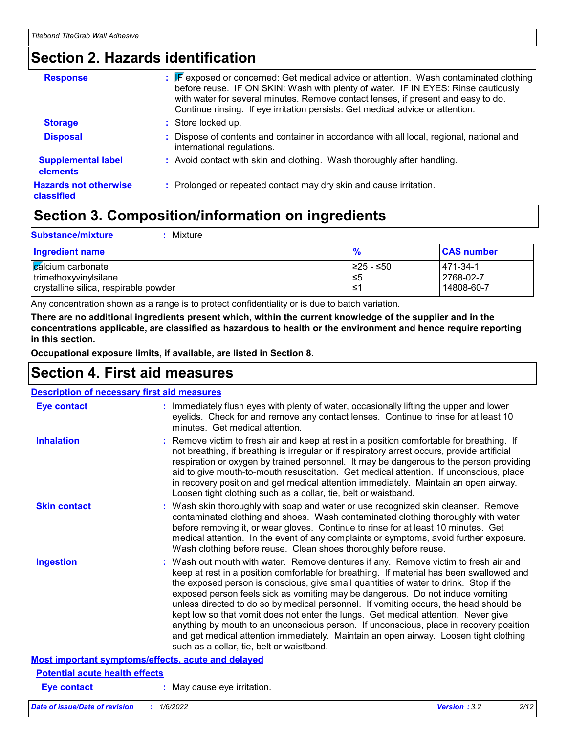# **Section 2. Hazards identification**

| <b>Response</b>                            | : F exposed or concerned: Get medical advice or attention. Wash contaminated clothing<br>before reuse. IF ON SKIN: Wash with plenty of water. IF IN EYES: Rinse cautiously<br>with water for several minutes. Remove contact lenses, if present and easy to do.<br>Continue rinsing. If eye irritation persists: Get medical advice or attention. |
|--------------------------------------------|---------------------------------------------------------------------------------------------------------------------------------------------------------------------------------------------------------------------------------------------------------------------------------------------------------------------------------------------------|
| <b>Storage</b>                             | : Store locked up.                                                                                                                                                                                                                                                                                                                                |
| <b>Disposal</b>                            | : Dispose of contents and container in accordance with all local, regional, national and<br>international regulations.                                                                                                                                                                                                                            |
| <b>Supplemental label</b><br>elements      | : Avoid contact with skin and clothing. Wash thoroughly after handling.                                                                                                                                                                                                                                                                           |
| <b>Hazards not otherwise</b><br>classified | : Prolonged or repeated contact may dry skin and cause irritation.                                                                                                                                                                                                                                                                                |

# **Section 3. Composition/information on ingredients**

| <b>Substance/mixture</b><br>Mixture   |               |                   |
|---------------------------------------|---------------|-------------------|
| <b>Ingredient name</b>                | $\frac{9}{6}$ | <b>CAS number</b> |
| cálcium carbonate                     | I≥25 - ≤50    | 471-34-1          |
| trimethoxyvinylsilane                 | 5≤ا           | 2768-02-7         |
| crystalline silica, respirable powder | ≤1            | 14808-60-7        |

Any concentration shown as a range is to protect confidentiality or is due to batch variation.

**There are no additional ingredients present which, within the current knowledge of the supplier and in the concentrations applicable, are classified as hazardous to health or the environment and hence require reporting in this section.**

**Occupational exposure limits, if available, are listed in Section 8.**

# **Section 4. First aid measures**

| <b>Description of necessary first aid measures</b> |                                                                                                                                                                                                                                                                                                                                                                                                                                                                                                                                                                                                                                                                                                                                                                           |
|----------------------------------------------------|---------------------------------------------------------------------------------------------------------------------------------------------------------------------------------------------------------------------------------------------------------------------------------------------------------------------------------------------------------------------------------------------------------------------------------------------------------------------------------------------------------------------------------------------------------------------------------------------------------------------------------------------------------------------------------------------------------------------------------------------------------------------------|
| <b>Eye contact</b>                                 | : Immediately flush eyes with plenty of water, occasionally lifting the upper and lower<br>eyelids. Check for and remove any contact lenses. Continue to rinse for at least 10<br>minutes. Get medical attention.                                                                                                                                                                                                                                                                                                                                                                                                                                                                                                                                                         |
| <b>Inhalation</b>                                  | : Remove victim to fresh air and keep at rest in a position comfortable for breathing. If<br>not breathing, if breathing is irregular or if respiratory arrest occurs, provide artificial<br>respiration or oxygen by trained personnel. It may be dangerous to the person providing<br>aid to give mouth-to-mouth resuscitation. Get medical attention. If unconscious, place<br>in recovery position and get medical attention immediately. Maintain an open airway.<br>Loosen tight clothing such as a collar, tie, belt or waistband.                                                                                                                                                                                                                                 |
| <b>Skin contact</b>                                | : Wash skin thoroughly with soap and water or use recognized skin cleanser. Remove<br>contaminated clothing and shoes. Wash contaminated clothing thoroughly with water<br>before removing it, or wear gloves. Continue to rinse for at least 10 minutes. Get<br>medical attention. In the event of any complaints or symptoms, avoid further exposure.<br>Wash clothing before reuse. Clean shoes thoroughly before reuse.                                                                                                                                                                                                                                                                                                                                               |
| <b>Ingestion</b>                                   | : Wash out mouth with water. Remove dentures if any. Remove victim to fresh air and<br>keep at rest in a position comfortable for breathing. If material has been swallowed and<br>the exposed person is conscious, give small quantities of water to drink. Stop if the<br>exposed person feels sick as vomiting may be dangerous. Do not induce vomiting<br>unless directed to do so by medical personnel. If vomiting occurs, the head should be<br>kept low so that vomit does not enter the lungs. Get medical attention. Never give<br>anything by mouth to an unconscious person. If unconscious, place in recovery position<br>and get medical attention immediately. Maintain an open airway. Loosen tight clothing<br>such as a collar, tie, belt or waistband. |
| Most important symptoms/effects, acute and delayed |                                                                                                                                                                                                                                                                                                                                                                                                                                                                                                                                                                                                                                                                                                                                                                           |
| <b>Potential acute health effects</b>              |                                                                                                                                                                                                                                                                                                                                                                                                                                                                                                                                                                                                                                                                                                                                                                           |
| <b>Eye contact</b>                                 | : May cause eye irritation.                                                                                                                                                                                                                                                                                                                                                                                                                                                                                                                                                                                                                                                                                                                                               |
|                                                    |                                                                                                                                                                                                                                                                                                                                                                                                                                                                                                                                                                                                                                                                                                                                                                           |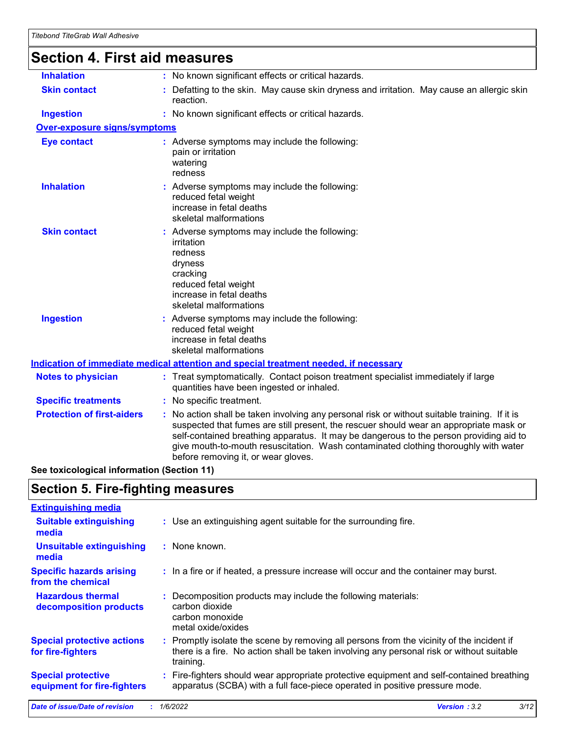# **Section 4. First aid measures**

| <b>Inhalation</b>                   | : No known significant effects or critical hazards.                                                                                                                                                                                                                                                                                                                                                             |
|-------------------------------------|-----------------------------------------------------------------------------------------------------------------------------------------------------------------------------------------------------------------------------------------------------------------------------------------------------------------------------------------------------------------------------------------------------------------|
| <b>Skin contact</b>                 | : Defatting to the skin. May cause skin dryness and irritation. May cause an allergic skin<br>reaction.                                                                                                                                                                                                                                                                                                         |
| <b>Ingestion</b>                    | : No known significant effects or critical hazards.                                                                                                                                                                                                                                                                                                                                                             |
| <b>Over-exposure signs/symptoms</b> |                                                                                                                                                                                                                                                                                                                                                                                                                 |
| <b>Eye contact</b>                  | : Adverse symptoms may include the following:<br>pain or irritation<br>watering<br>redness                                                                                                                                                                                                                                                                                                                      |
| <b>Inhalation</b>                   | : Adverse symptoms may include the following:<br>reduced fetal weight<br>increase in fetal deaths<br>skeletal malformations                                                                                                                                                                                                                                                                                     |
| <b>Skin contact</b>                 | : Adverse symptoms may include the following:<br>irritation<br>redness<br>dryness<br>cracking<br>reduced fetal weight<br>increase in fetal deaths<br>skeletal malformations                                                                                                                                                                                                                                     |
| <b>Ingestion</b>                    | : Adverse symptoms may include the following:<br>reduced fetal weight<br>increase in fetal deaths<br>skeletal malformations                                                                                                                                                                                                                                                                                     |
|                                     | <b>Indication of immediate medical attention and special treatment needed, if necessary</b>                                                                                                                                                                                                                                                                                                                     |
| <b>Notes to physician</b>           | : Treat symptomatically. Contact poison treatment specialist immediately if large<br>quantities have been ingested or inhaled.                                                                                                                                                                                                                                                                                  |
| <b>Specific treatments</b>          | : No specific treatment.                                                                                                                                                                                                                                                                                                                                                                                        |
| <b>Protection of first-aiders</b>   | : No action shall be taken involving any personal risk or without suitable training. If it is<br>suspected that fumes are still present, the rescuer should wear an appropriate mask or<br>self-contained breathing apparatus. It may be dangerous to the person providing aid to<br>give mouth-to-mouth resuscitation. Wash contaminated clothing thoroughly with water<br>before removing it, or wear gloves. |
|                                     |                                                                                                                                                                                                                                                                                                                                                                                                                 |

#### **See toxicological information (Section 11)**

### **Section 5. Fire-fighting measures**

| <b>Extinguishing media</b>                               |                                                                                                                                                                                                   |
|----------------------------------------------------------|---------------------------------------------------------------------------------------------------------------------------------------------------------------------------------------------------|
| <b>Suitable extinguishing</b><br>media                   | : Use an extinguishing agent suitable for the surrounding fire.                                                                                                                                   |
| <b>Unsuitable extinguishing</b><br>media                 | : None known.                                                                                                                                                                                     |
| <b>Specific hazards arising</b><br>from the chemical     | : In a fire or if heated, a pressure increase will occur and the container may burst.                                                                                                             |
| <b>Hazardous thermal</b><br>decomposition products       | Decomposition products may include the following materials:<br>carbon dioxide<br>carbon monoxide<br>metal oxide/oxides                                                                            |
| <b>Special protective actions</b><br>for fire-fighters   | Promptly isolate the scene by removing all persons from the vicinity of the incident if<br>there is a fire. No action shall be taken involving any personal risk or without suitable<br>training. |
| <b>Special protective</b><br>equipment for fire-fighters | Fire-fighters should wear appropriate protective equipment and self-contained breathing<br>apparatus (SCBA) with a full face-piece operated in positive pressure mode.                            |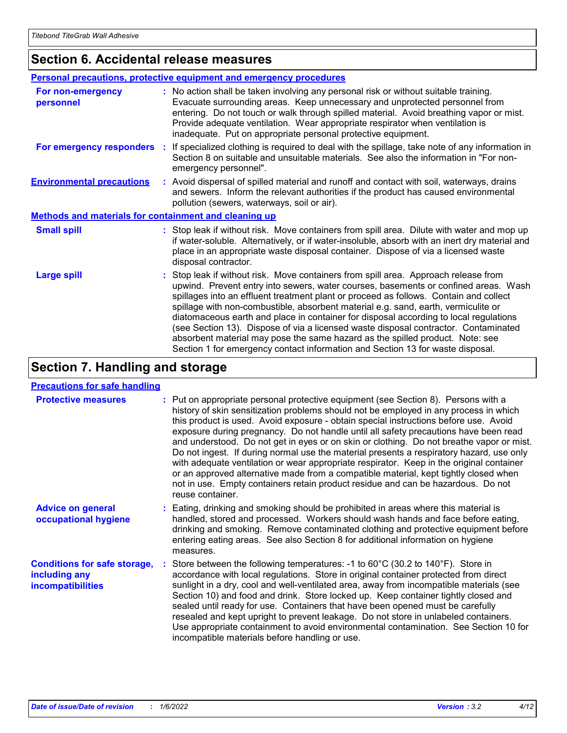# **Section 6. Accidental release measures**

|                                                       | <b>Personal precautions, protective equipment and emergency procedures</b>                                                                                                                                                                                                                                                                                                                                                                                                                                                                                                                                                                                                                                   |
|-------------------------------------------------------|--------------------------------------------------------------------------------------------------------------------------------------------------------------------------------------------------------------------------------------------------------------------------------------------------------------------------------------------------------------------------------------------------------------------------------------------------------------------------------------------------------------------------------------------------------------------------------------------------------------------------------------------------------------------------------------------------------------|
| For non-emergency<br>personnel                        | : No action shall be taken involving any personal risk or without suitable training.<br>Evacuate surrounding areas. Keep unnecessary and unprotected personnel from<br>entering. Do not touch or walk through spilled material. Avoid breathing vapor or mist.<br>Provide adequate ventilation. Wear appropriate respirator when ventilation is<br>inadequate. Put on appropriate personal protective equipment.                                                                                                                                                                                                                                                                                             |
| For emergency responders                              | : If specialized clothing is required to deal with the spillage, take note of any information in<br>Section 8 on suitable and unsuitable materials. See also the information in "For non-<br>emergency personnel".                                                                                                                                                                                                                                                                                                                                                                                                                                                                                           |
| <b>Environmental precautions</b>                      | : Avoid dispersal of spilled material and runoff and contact with soil, waterways, drains<br>and sewers. Inform the relevant authorities if the product has caused environmental<br>pollution (sewers, waterways, soil or air).                                                                                                                                                                                                                                                                                                                                                                                                                                                                              |
| Methods and materials for containment and cleaning up |                                                                                                                                                                                                                                                                                                                                                                                                                                                                                                                                                                                                                                                                                                              |
| <b>Small spill</b>                                    | : Stop leak if without risk. Move containers from spill area. Dilute with water and mop up<br>if water-soluble. Alternatively, or if water-insoluble, absorb with an inert dry material and<br>place in an appropriate waste disposal container. Dispose of via a licensed waste<br>disposal contractor.                                                                                                                                                                                                                                                                                                                                                                                                     |
| <b>Large spill</b>                                    | : Stop leak if without risk. Move containers from spill area. Approach release from<br>upwind. Prevent entry into sewers, water courses, basements or confined areas. Wash<br>spillages into an effluent treatment plant or proceed as follows. Contain and collect<br>spillage with non-combustible, absorbent material e.g. sand, earth, vermiculite or<br>diatomaceous earth and place in container for disposal according to local regulations<br>(see Section 13). Dispose of via a licensed waste disposal contractor. Contaminated<br>absorbent material may pose the same hazard as the spilled product. Note: see<br>Section 1 for emergency contact information and Section 13 for waste disposal. |

# **Section 7. Handling and storage**

#### **Precautions for safe handling**

| <b>Protective measures</b>                                                       | : Put on appropriate personal protective equipment (see Section 8). Persons with a<br>history of skin sensitization problems should not be employed in any process in which<br>this product is used. Avoid exposure - obtain special instructions before use. Avoid<br>exposure during pregnancy. Do not handle until all safety precautions have been read<br>and understood. Do not get in eyes or on skin or clothing. Do not breathe vapor or mist.<br>Do not ingest. If during normal use the material presents a respiratory hazard, use only<br>with adequate ventilation or wear appropriate respirator. Keep in the original container<br>or an approved alternative made from a compatible material, kept tightly closed when<br>not in use. Empty containers retain product residue and can be hazardous. Do not<br>reuse container. |
|----------------------------------------------------------------------------------|-------------------------------------------------------------------------------------------------------------------------------------------------------------------------------------------------------------------------------------------------------------------------------------------------------------------------------------------------------------------------------------------------------------------------------------------------------------------------------------------------------------------------------------------------------------------------------------------------------------------------------------------------------------------------------------------------------------------------------------------------------------------------------------------------------------------------------------------------|
| <b>Advice on general</b><br>occupational hygiene                                 | : Eating, drinking and smoking should be prohibited in areas where this material is<br>handled, stored and processed. Workers should wash hands and face before eating,<br>drinking and smoking. Remove contaminated clothing and protective equipment before<br>entering eating areas. See also Section 8 for additional information on hygiene<br>measures.                                                                                                                                                                                                                                                                                                                                                                                                                                                                                   |
| <b>Conditions for safe storage,</b><br>including any<br><i>incompatibilities</i> | : Store between the following temperatures: -1 to $60^{\circ}$ C (30.2 to $140^{\circ}$ F). Store in<br>accordance with local regulations. Store in original container protected from direct<br>sunlight in a dry, cool and well-ventilated area, away from incompatible materials (see<br>Section 10) and food and drink. Store locked up. Keep container tightly closed and<br>sealed until ready for use. Containers that have been opened must be carefully<br>resealed and kept upright to prevent leakage. Do not store in unlabeled containers.<br>Use appropriate containment to avoid environmental contamination. See Section 10 for<br>incompatible materials before handling or use.                                                                                                                                                |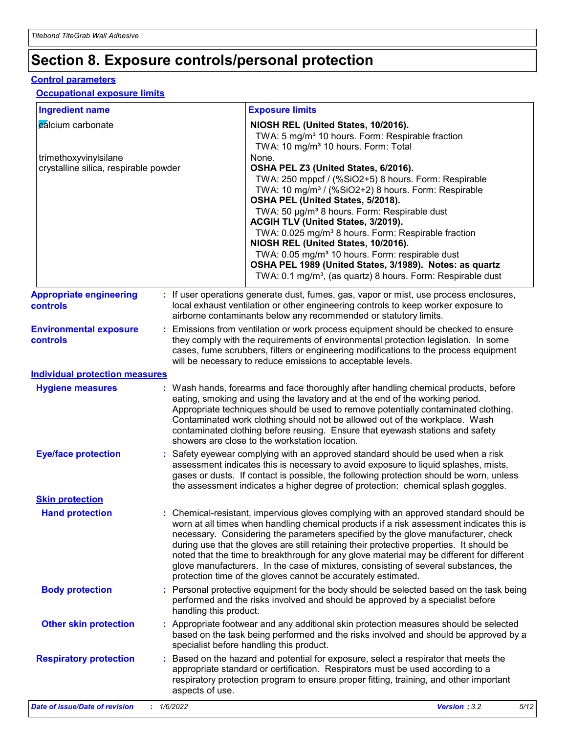# **Section 8. Exposure controls/personal protection**

#### **Control parameters**

#### **Occupational exposure limits**

| <b>Ingredient name</b>                                                              |            |                        | <b>Exposure limits</b>                                                                                                                                                                                                                                                                                                                                                                                                                                                                                                                                                                                                                                                                                                                                                                   |
|-------------------------------------------------------------------------------------|------------|------------------------|------------------------------------------------------------------------------------------------------------------------------------------------------------------------------------------------------------------------------------------------------------------------------------------------------------------------------------------------------------------------------------------------------------------------------------------------------------------------------------------------------------------------------------------------------------------------------------------------------------------------------------------------------------------------------------------------------------------------------------------------------------------------------------------|
| calcium carbonate<br>trimethoxyvinylsilane<br>crystalline silica, respirable powder |            |                        | NIOSH REL (United States, 10/2016).<br>TWA: 5 mg/m <sup>3</sup> 10 hours. Form: Respirable fraction<br>TWA: 10 mg/m <sup>3</sup> 10 hours. Form: Total<br>None.<br>OSHA PEL Z3 (United States, 6/2016).<br>TWA: 250 mppcf / (%SiO2+5) 8 hours. Form: Respirable<br>TWA: 10 mg/m <sup>3</sup> / (%SiO2+2) 8 hours. Form: Respirable<br>OSHA PEL (United States, 5/2018).<br>TWA: 50 µg/m <sup>3</sup> 8 hours. Form: Respirable dust<br>ACGIH TLV (United States, 3/2019).<br>TWA: 0.025 mg/m <sup>3</sup> 8 hours. Form: Respirable fraction<br>NIOSH REL (United States, 10/2016).<br>TWA: 0.05 mg/m <sup>3</sup> 10 hours. Form: respirable dust<br>OSHA PEL 1989 (United States, 3/1989). Notes: as quartz<br>TWA: 0.1 mg/m <sup>3</sup> , (as quartz) 8 hours. Form: Respirable dust |
| <b>Appropriate engineering</b><br>controls                                          |            |                        | : If user operations generate dust, fumes, gas, vapor or mist, use process enclosures,<br>local exhaust ventilation or other engineering controls to keep worker exposure to<br>airborne contaminants below any recommended or statutory limits.                                                                                                                                                                                                                                                                                                                                                                                                                                                                                                                                         |
| <b>Environmental exposure</b><br><b>controls</b>                                    |            |                        | Emissions from ventilation or work process equipment should be checked to ensure<br>they comply with the requirements of environmental protection legislation. In some<br>cases, fume scrubbers, filters or engineering modifications to the process equipment<br>will be necessary to reduce emissions to acceptable levels.                                                                                                                                                                                                                                                                                                                                                                                                                                                            |
| <b>Individual protection measures</b>                                               |            |                        |                                                                                                                                                                                                                                                                                                                                                                                                                                                                                                                                                                                                                                                                                                                                                                                          |
| <b>Hygiene measures</b>                                                             |            |                        | : Wash hands, forearms and face thoroughly after handling chemical products, before<br>eating, smoking and using the lavatory and at the end of the working period.<br>Appropriate techniques should be used to remove potentially contaminated clothing.<br>Contaminated work clothing should not be allowed out of the workplace. Wash<br>contaminated clothing before reusing. Ensure that eyewash stations and safety<br>showers are close to the workstation location.                                                                                                                                                                                                                                                                                                              |
| <b>Eye/face protection</b>                                                          |            |                        | Safety eyewear complying with an approved standard should be used when a risk<br>assessment indicates this is necessary to avoid exposure to liquid splashes, mists,<br>gases or dusts. If contact is possible, the following protection should be worn, unless<br>the assessment indicates a higher degree of protection: chemical splash goggles.                                                                                                                                                                                                                                                                                                                                                                                                                                      |
| <b>Skin protection</b>                                                              |            |                        |                                                                                                                                                                                                                                                                                                                                                                                                                                                                                                                                                                                                                                                                                                                                                                                          |
| <b>Hand protection</b>                                                              |            |                        | : Chemical-resistant, impervious gloves complying with an approved standard should be<br>worn at all times when handling chemical products if a risk assessment indicates this is<br>necessary. Considering the parameters specified by the glove manufacturer, check<br>during use that the gloves are still retaining their protective properties. It should be<br>noted that the time to breakthrough for any glove material may be different for different<br>glove manufacturers. In the case of mixtures, consisting of several substances, the<br>protection time of the gloves cannot be accurately estimated.                                                                                                                                                                   |
| <b>Body protection</b>                                                              |            | handling this product. | Personal protective equipment for the body should be selected based on the task being<br>performed and the risks involved and should be approved by a specialist before                                                                                                                                                                                                                                                                                                                                                                                                                                                                                                                                                                                                                  |
| <b>Other skin protection</b>                                                        |            |                        | Appropriate footwear and any additional skin protection measures should be selected<br>based on the task being performed and the risks involved and should be approved by a<br>specialist before handling this product.                                                                                                                                                                                                                                                                                                                                                                                                                                                                                                                                                                  |
| <b>Respiratory protection</b>                                                       | ÷.         | aspects of use.        | Based on the hazard and potential for exposure, select a respirator that meets the<br>appropriate standard or certification. Respirators must be used according to a<br>respiratory protection program to ensure proper fitting, training, and other important                                                                                                                                                                                                                                                                                                                                                                                                                                                                                                                           |
| <b>Date of issue/Date of revision</b>                                               | : 1/6/2022 |                        | Version: 3.2<br>5/12                                                                                                                                                                                                                                                                                                                                                                                                                                                                                                                                                                                                                                                                                                                                                                     |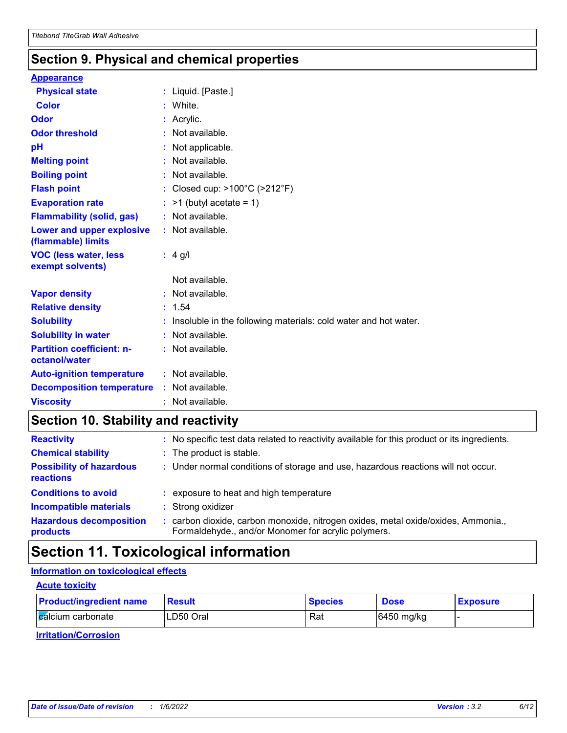## **Section 9. Physical and chemical properties**

#### **Appearance**

| <b>Physical state</b>                                  |    | : Liquid. [Paste.]                                                |
|--------------------------------------------------------|----|-------------------------------------------------------------------|
| <b>Color</b>                                           |    | : White.                                                          |
| Odor                                                   |    | : Acrylic.                                                        |
| <b>Odor threshold</b>                                  | ÷. | Not available.                                                    |
| pH                                                     |    | Not applicable.                                                   |
| <b>Melting point</b>                                   |    | : Not available.                                                  |
| <b>Boiling point</b>                                   |    | : Not available.                                                  |
| <b>Flash point</b>                                     |    | : Closed cup: $>100^{\circ}$ C ( $>212^{\circ}$ F)                |
| <b>Evaporation rate</b>                                |    | $:$ >1 (butyl acetate = 1)                                        |
| <b>Flammability (solid, gas)</b>                       |    | : Not available.                                                  |
| <b>Lower and upper explosive</b><br>(flammable) limits |    | : Not available.                                                  |
| <b>VOC (less water, less</b><br>exempt solvents)       |    | $: 4$ g/l                                                         |
|                                                        |    | Not available.                                                    |
| <b>Vapor density</b>                                   |    | : Not available.                                                  |
| <b>Relative density</b>                                |    | : 1.54                                                            |
| <b>Solubility</b>                                      |    | : Insoluble in the following materials: cold water and hot water. |
| <b>Solubility in water</b>                             |    | : Not available.                                                  |
| <b>Partition coefficient: n-</b><br>octanol/water      |    | : Not available.                                                  |
| <b>Auto-ignition temperature</b>                       |    | : Not available.                                                  |
| <b>Decomposition temperature</b>                       |    | : Not available.                                                  |
| <b>Viscosity</b>                                       |    | : Not available.                                                  |

# **Section 10. Stability and reactivity**

| <b>Reactivity</b>                            | : No specific test data related to reactivity available for this product or its ingredients.                                             |
|----------------------------------------------|------------------------------------------------------------------------------------------------------------------------------------------|
| <b>Chemical stability</b>                    | : The product is stable.                                                                                                                 |
| <b>Possibility of hazardous</b><br>reactions | : Under normal conditions of storage and use, hazardous reactions will not occur.                                                        |
| <b>Conditions to avoid</b>                   | : exposure to heat and high temperature                                                                                                  |
| <b>Incompatible materials</b>                | : Strong oxidizer                                                                                                                        |
| <b>Hazardous decomposition</b><br>products   | : carbon dioxide, carbon monoxide, nitrogen oxides, metal oxide/oxides, Ammonia.,<br>Formaldehyde., and/or Monomer for acrylic polymers. |

# **Section 11. Toxicological information**

#### **Information on toxicological effects**

#### **Acute toxicity**

| <b>Product/ingredient name</b> | <b>Result</b> | <b>Species</b> | <b>Dose</b> | <b>Exposure</b> |
|--------------------------------|---------------|----------------|-------------|-----------------|
| <b>Z</b> alcium carbonate      | LD50 Oral     | Rat            | 6450 mg/kg  |                 |

**Irritation/Corrosion**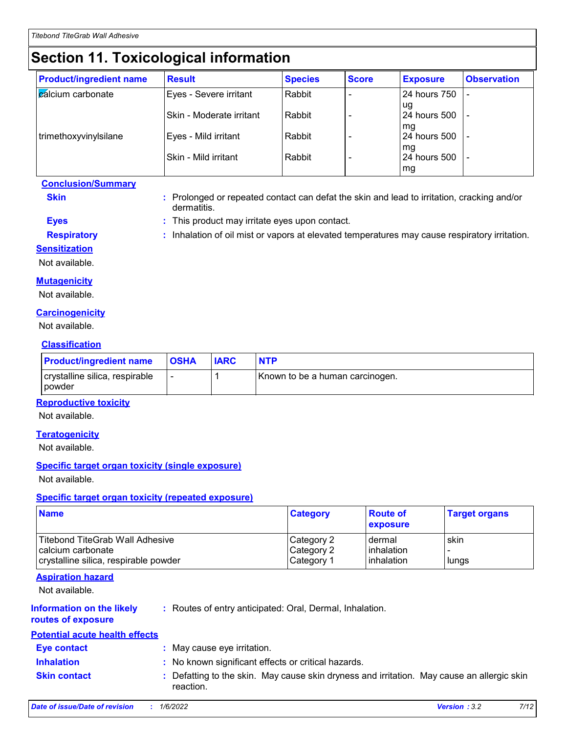# **Section 11. Toxicological information**

| <b>Product/ingredient name</b> | <b>Result</b>             | <b>Species</b> | <b>Score</b> | <b>Exposure</b>          | <b>Observation</b> |
|--------------------------------|---------------------------|----------------|--------------|--------------------------|--------------------|
| cálcium carbonate              | Eyes - Severe irritant    | Rabbit         |              | 24 hours 750             |                    |
|                                | ISkin - Moderate irritant | Rabbit         |              | ug<br>24 hours 500<br>mg |                    |
| trimethoxyvinylsilane          | Eyes - Mild irritant      | Rabbit         |              | 24 hours 500             |                    |
|                                | Skin - Mild irritant      | Rabbit         |              | mq<br>24 hours 500<br>mg |                    |

**Conclusion/Summary**

- **Skin Example 20 :** Prolonged or repeated contact can defat the skin and lead to irritation, cracking and/or dermatitis.
- **Eyes :** This product may irritate eyes upon contact.
- **Respiratory :** Inhalation of oil mist or vapors at elevated temperatures may cause respiratory irritation.

#### **Sensitization**

Not available.

#### **Mutagenicity**

Not available.

#### **Carcinogenicity**

Not available.

#### **Classification**

| <b>Product/ingredient name</b>           | <b>OSHA</b>              | <b>IARC</b> | <b>NTP</b>                      |
|------------------------------------------|--------------------------|-------------|---------------------------------|
| crystalline silica, respirable<br>powder | $\overline{\phantom{0}}$ |             | Known to be a human carcinogen. |

#### **Reproductive toxicity**

Not available.

#### **Teratogenicity**

Not available.

#### **Specific target organ toxicity (single exposure)**

Not available.

#### **Specific target organ toxicity (repeated exposure)**

| <b>Name</b>                            | <b>Category</b> | <b>Route of</b><br>exposure | <b>Target organs</b> |
|----------------------------------------|-----------------|-----------------------------|----------------------|
| <b>Titebond TiteGrab Wall Adhesive</b> | Category 2      | dermal                      | skin                 |
| calcium carbonate                      | Category 2      | <b>linhalation</b>          |                      |
| crystalline silica, respirable powder  | Category 1      | inhalation                  | lungs                |

#### **Aspiration hazard**

Not available.

#### **Information on the likely**

**:** Routes of entry anticipated: Oral, Dermal, Inhalation.

#### **routes of exposure**

#### **Potential acute health effects**

| T Olonual avalo hoann choolo |                                                                                                         |
|------------------------------|---------------------------------------------------------------------------------------------------------|
| Eye contact                  | : May cause eye irritation.                                                                             |
| <b>Inhalation</b>            | : No known significant effects or critical hazards.                                                     |
| <b>Skin contact</b>          | : Defatting to the skin. May cause skin dryness and irritation. May cause an allergic skin<br>reaction. |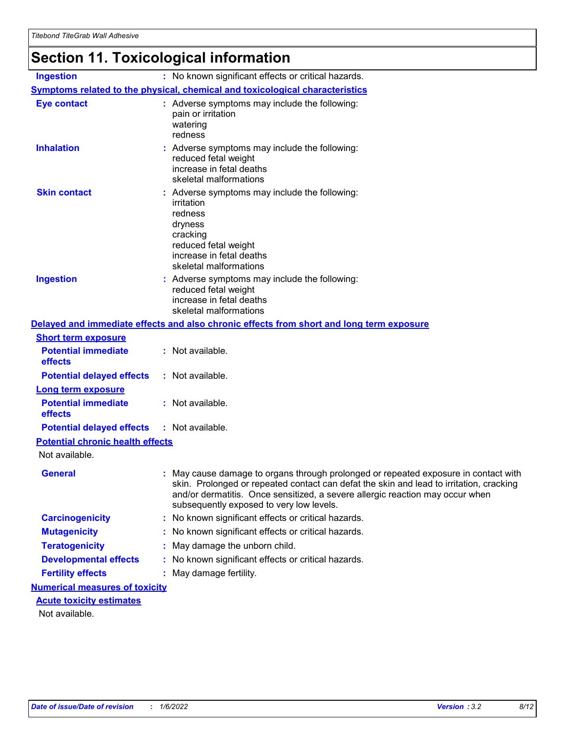# **Section 11. Toxicological information**

| <b>Ingestion</b>                                  | : No known significant effects or critical hazards.                                                                                                                                                                                                                                                         |
|---------------------------------------------------|-------------------------------------------------------------------------------------------------------------------------------------------------------------------------------------------------------------------------------------------------------------------------------------------------------------|
|                                                   | <b>Symptoms related to the physical, chemical and toxicological characteristics</b>                                                                                                                                                                                                                         |
| <b>Eye contact</b>                                | : Adverse symptoms may include the following:<br>pain or irritation<br>watering<br>redness                                                                                                                                                                                                                  |
| <b>Inhalation</b>                                 | : Adverse symptoms may include the following:<br>reduced fetal weight<br>increase in fetal deaths<br>skeletal malformations                                                                                                                                                                                 |
| <b>Skin contact</b>                               | : Adverse symptoms may include the following:<br>irritation<br>redness<br>dryness<br>cracking<br>reduced fetal weight<br>increase in fetal deaths<br>skeletal malformations                                                                                                                                 |
| <b>Ingestion</b>                                  | : Adverse symptoms may include the following:<br>reduced fetal weight<br>increase in fetal deaths<br>skeletal malformations                                                                                                                                                                                 |
|                                                   | Delayed and immediate effects and also chronic effects from short and long term exposure                                                                                                                                                                                                                    |
| <b>Short term exposure</b>                        |                                                                                                                                                                                                                                                                                                             |
| <b>Potential immediate</b><br>effects             | : Not available.                                                                                                                                                                                                                                                                                            |
| <b>Potential delayed effects</b>                  | : Not available.                                                                                                                                                                                                                                                                                            |
| <b>Long term exposure</b>                         |                                                                                                                                                                                                                                                                                                             |
| <b>Potential immediate</b><br>effects             | : Not available.                                                                                                                                                                                                                                                                                            |
| <b>Potential delayed effects</b>                  | : Not available.                                                                                                                                                                                                                                                                                            |
| <b>Potential chronic health effects</b>           |                                                                                                                                                                                                                                                                                                             |
| Not available.                                    |                                                                                                                                                                                                                                                                                                             |
| <b>General</b>                                    | : May cause damage to organs through prolonged or repeated exposure in contact with<br>skin. Prolonged or repeated contact can defat the skin and lead to irritation, cracking<br>and/or dermatitis. Once sensitized, a severe allergic reaction may occur when<br>subsequently exposed to very low levels. |
| <b>Carcinogenicity</b>                            | No known significant effects or critical hazards.<br>t.                                                                                                                                                                                                                                                     |
| <b>Mutagenicity</b>                               | No known significant effects or critical hazards.<br>t.                                                                                                                                                                                                                                                     |
| <b>Teratogenicity</b>                             | May damage the unborn child.                                                                                                                                                                                                                                                                                |
| <b>Developmental effects</b>                      | No known significant effects or critical hazards.                                                                                                                                                                                                                                                           |
| <b>Fertility effects</b>                          | May damage fertility.<br>t.                                                                                                                                                                                                                                                                                 |
| <b>Numerical measures of toxicity</b>             |                                                                                                                                                                                                                                                                                                             |
| <b>Acute toxicity estimates</b><br>Not available. |                                                                                                                                                                                                                                                                                                             |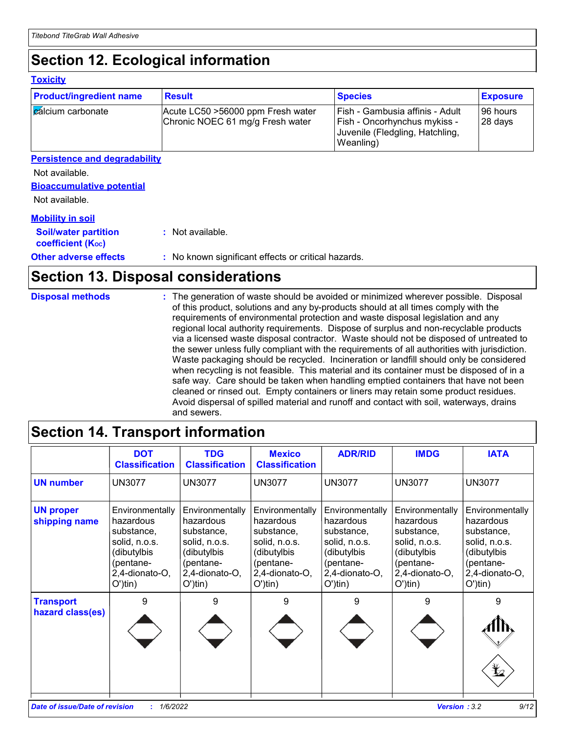# **Section 12. Ecological information**

#### **Toxicity**

| <b>Product/ingredient name</b> | <b>Result</b>                                                         | <b>Species</b>                                                                                                         | <b>Exposure</b>      |
|--------------------------------|-----------------------------------------------------------------------|------------------------------------------------------------------------------------------------------------------------|----------------------|
| <b>Z</b> alcium carbonate      | Acute LC50 >56000 ppm Fresh water<br>Chronic NOEC 61 mg/g Fresh water | Fish - Gambusia affinis - Adult<br><b>Fish - Oncorhynchus mykiss -</b><br>Juvenile (Fledgling, Hatchling,<br>Weanling) | 196 hours<br>28 days |

#### **Persistence and degradability**

Not available.

#### **Bioaccumulative potential**

Not available.

#### **Mobility in soil**

| <b>Soil/water partition</b><br>coefficient (K <sub>oc</sub> ) | : Not available.                                    |
|---------------------------------------------------------------|-----------------------------------------------------|
| <b>Other adverse effects</b>                                  | : No known significant effects or critical hazards. |

# **Section 13. Disposal considerations**

| <b>Disposal methods</b> | : The generation of waste should be avoided or minimized wherever possible. Disposal<br>of this product, solutions and any by-products should at all times comply with the<br>requirements of environmental protection and waste disposal legislation and any<br>regional local authority requirements. Dispose of surplus and non-recyclable products<br>via a licensed waste disposal contractor. Waste should not be disposed of untreated to<br>the sewer unless fully compliant with the requirements of all authorities with jurisdiction.<br>Waste packaging should be recycled. Incineration or landfill should only be considered<br>when recycling is not feasible. This material and its container must be disposed of in a<br>safe way. Care should be taken when handling emptied containers that have not been<br>cleaned or rinsed out. Empty containers or liners may retain some product residues.<br>Avoid dispersal of spilled material and runoff and contact with soil, waterways, drains<br>and sewers. |
|-------------------------|-------------------------------------------------------------------------------------------------------------------------------------------------------------------------------------------------------------------------------------------------------------------------------------------------------------------------------------------------------------------------------------------------------------------------------------------------------------------------------------------------------------------------------------------------------------------------------------------------------------------------------------------------------------------------------------------------------------------------------------------------------------------------------------------------------------------------------------------------------------------------------------------------------------------------------------------------------------------------------------------------------------------------------|
|                         |                                                                                                                                                                                                                                                                                                                                                                                                                                                                                                                                                                                                                                                                                                                                                                                                                                                                                                                                                                                                                               |

# **Section 14. Transport information**

|                                      | <b>DOT</b><br><b>Classification</b>                                                                                             | <b>TDG</b><br><b>Classification</b>                                                                                             | <b>Mexico</b><br><b>Classification</b>                                                                                          | <b>ADR/RID</b>                                                                                                                  | <b>IMDG</b>                                                                                                                     | <b>IATA</b>                                                                                                                     |
|--------------------------------------|---------------------------------------------------------------------------------------------------------------------------------|---------------------------------------------------------------------------------------------------------------------------------|---------------------------------------------------------------------------------------------------------------------------------|---------------------------------------------------------------------------------------------------------------------------------|---------------------------------------------------------------------------------------------------------------------------------|---------------------------------------------------------------------------------------------------------------------------------|
| <b>UN number</b>                     | <b>UN3077</b>                                                                                                                   | <b>UN3077</b>                                                                                                                   | <b>UN3077</b>                                                                                                                   | <b>UN3077</b>                                                                                                                   | <b>UN3077</b>                                                                                                                   | <b>UN3077</b>                                                                                                                   |
| <b>UN proper</b><br>shipping name    | Environmentally<br>hazardous<br>substance,<br>solid, n.o.s.<br>(dibutylbis<br>(pentane-<br>2,4-dionato-O,<br>$O^{\prime}$ )tin) | Environmentally<br>hazardous<br>substance,<br>solid, n.o.s.<br>(dibutylbis<br>(pentane-<br>2,4-dionato-O,<br>$O^{\prime}$ )tin) | Environmentally<br>hazardous<br>substance,<br>solid, n.o.s.<br>(dibutylbis<br>(pentane-<br>2,4-dionato-O,<br>$O^{\prime}$ )tin) | Environmentally<br>hazardous<br>substance,<br>solid, n.o.s.<br>(dibutylbis<br>(pentane-<br>2,4-dionato-O,<br>$O^{\prime}$ )tin) | Environmentally<br>hazardous<br>substance,<br>solid, n.o.s.<br>(dibutylbis<br>(pentane-<br>2,4-dionato-O,<br>$O^{\prime}$ )tin) | Environmentally<br>hazardous<br>substance,<br>solid, n.o.s.<br>(dibutylbis<br>(pentane-<br>2,4-dionato-O,<br>$O^{\prime}$ )tin) |
| <b>Transport</b><br>hazard class(es) | 9                                                                                                                               | 9                                                                                                                               | 9                                                                                                                               | 9                                                                                                                               | 9                                                                                                                               | 9<br>$\frac{1}{2}$                                                                                                              |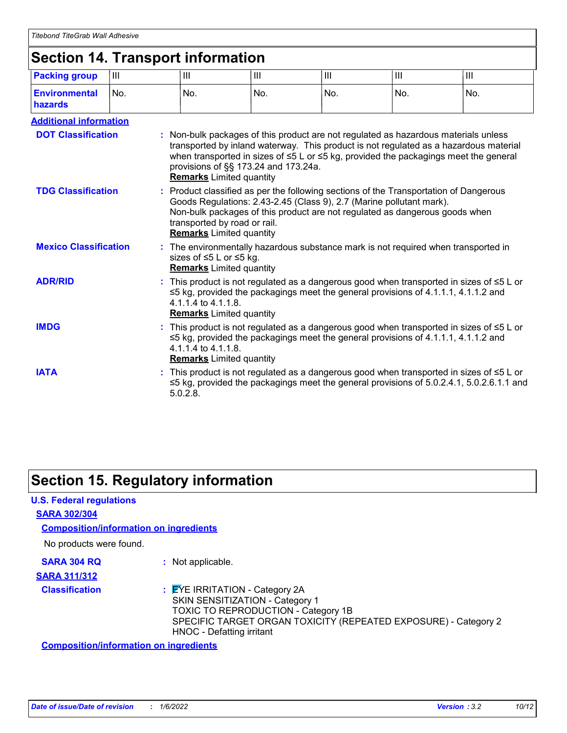# **Section 14. Transport information**

| <b>Packing group</b>                                                                                                                                                                                                        | Ш   | Ш                                                                                                                                                                                                                                                    | Ш                                                                                                                                                                                                                                                    | III | III                                                                                                                                                                                                                                          | Ш                                                                                                                                                                                         |
|-----------------------------------------------------------------------------------------------------------------------------------------------------------------------------------------------------------------------------|-----|------------------------------------------------------------------------------------------------------------------------------------------------------------------------------------------------------------------------------------------------------|------------------------------------------------------------------------------------------------------------------------------------------------------------------------------------------------------------------------------------------------------|-----|----------------------------------------------------------------------------------------------------------------------------------------------------------------------------------------------------------------------------------------------|-------------------------------------------------------------------------------------------------------------------------------------------------------------------------------------------|
| <b>Environmental</b><br>hazards                                                                                                                                                                                             | No. | No.                                                                                                                                                                                                                                                  | No.                                                                                                                                                                                                                                                  | No. | No.                                                                                                                                                                                                                                          | No.                                                                                                                                                                                       |
| <b>Additional information</b>                                                                                                                                                                                               |     |                                                                                                                                                                                                                                                      |                                                                                                                                                                                                                                                      |     |                                                                                                                                                                                                                                              |                                                                                                                                                                                           |
| <b>DOT Classification</b>                                                                                                                                                                                                   |     | <b>Remarks</b> Limited quantity                                                                                                                                                                                                                      | provisions of §§ 173.24 and 173.24a.                                                                                                                                                                                                                 |     | : Non-bulk packages of this product are not regulated as hazardous materials unless                                                                                                                                                          | transported by inland waterway. This product is not regulated as a hazardous material<br>when transported in sizes of $\leq 5$ L or $\leq 5$ kg, provided the packagings meet the general |
| <b>TDG Classification</b>                                                                                                                                                                                                   |     | transported by road or rail.<br><b>Remarks</b> Limited quantity                                                                                                                                                                                      |                                                                                                                                                                                                                                                      |     | : Product classified as per the following sections of the Transportation of Dangerous<br>Goods Regulations: 2.43-2.45 (Class 9), 2.7 (Marine pollutant mark).<br>Non-bulk packages of this product are not regulated as dangerous goods when |                                                                                                                                                                                           |
| <b>Mexico Classification</b>                                                                                                                                                                                                |     |                                                                                                                                                                                                                                                      | : The environmentally hazardous substance mark is not required when transported in<br>sizes of ≤5 L or ≤5 kg.<br><b>Remarks</b> Limited quantity                                                                                                     |     |                                                                                                                                                                                                                                              |                                                                                                                                                                                           |
| <b>ADR/RID</b>                                                                                                                                                                                                              |     |                                                                                                                                                                                                                                                      | : This product is not regulated as a dangerous good when transported in sizes of $\leq 5$ L or<br>$\leq$ 5 kg, provided the packagings meet the general provisions of 4.1.1.1, 4.1.1.2 and<br>4.1.1.4 to 4.1.1.8.<br><b>Remarks</b> Limited quantity |     |                                                                                                                                                                                                                                              |                                                                                                                                                                                           |
| <b>IMDG</b>                                                                                                                                                                                                                 |     | : This product is not regulated as a dangerous good when transported in sizes of $\leq 5$ L or<br>$\leq$ 5 kg, provided the packagings meet the general provisions of 4.1.1.1, 4.1.1.2 and<br>4.1.1.4 to 4.1.1.8.<br><b>Remarks</b> Limited quantity |                                                                                                                                                                                                                                                      |     |                                                                                                                                                                                                                                              |                                                                                                                                                                                           |
| <b>IATA</b><br>: This product is not regulated as a dangerous good when transported in sizes of $\leq 5$ L or<br>$\leq$ 5 kg, provided the packagings meet the general provisions of 5.0.2.4.1, 5.0.2.6.1.1 and<br>5.0.2.8. |     |                                                                                                                                                                                                                                                      |                                                                                                                                                                                                                                                      |     |                                                                                                                                                                                                                                              |                                                                                                                                                                                           |

# **Section 15. Regulatory information**

#### **U.S. Federal regulations**

#### **SARA 302/304**

**Composition/information on ingredients**

No products were found.

**SARA 304 RQ :** Not applicable.

**SARA 311/312**

**Classification :** EYE IRRITATION - Category 2A SKIN SENSITIZATION - Category 1 TOXIC TO REPRODUCTION - Category 1B SPECIFIC TARGET ORGAN TOXICITY (REPEATED EXPOSURE) - Category 2 HNOC - Defatting irritant

**Composition/information on ingredients**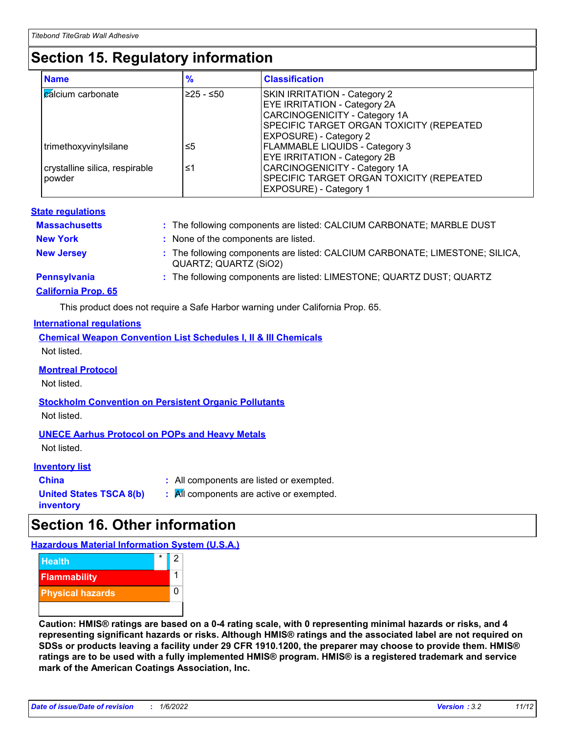# **Section 15. Regulatory information**

| <b>Name</b>                    | $\frac{9}{6}$ | <b>Classification</b>                    |
|--------------------------------|---------------|------------------------------------------|
| <b>calcium carbonate</b>       | ≥25 - ≤50     | <b>SKIN IRRITATION - Category 2</b>      |
|                                |               | <b>EYE IRRITATION - Category 2A</b>      |
|                                |               | CARCINOGENICITY - Category 1A            |
|                                |               | SPECIFIC TARGET ORGAN TOXICITY (REPEATED |
|                                |               | <b>EXPOSURE) - Category 2</b>            |
| trimethoxyvinylsilane          | ≤5            | <b>FLAMMABLE LIQUIDS - Category 3</b>    |
|                                |               | <b>EYE IRRITATION - Category 2B</b>      |
| crystalline silica, respirable | ≤1            | CARCINOGENICITY - Category 1A            |
| powder                         |               | SPECIFIC TARGET ORGAN TOXICITY (REPEATED |
|                                |               | <b>EXPOSURE) - Category 1</b>            |

#### **State regulations**

| <b>Massachusetts</b>                       | : The following components are listed: CALCIUM CARBONATE; MARBLE DUST                                 |
|--------------------------------------------|-------------------------------------------------------------------------------------------------------|
| <b>New York</b>                            | : None of the components are listed.                                                                  |
| <b>New Jersey</b>                          | : The following components are listed: CALCIUM CARBONATE; LIMESTONE; SILICA,<br>QUARTZ; QUARTZ (SiO2) |
| Pennsylvania<br><b>California Prop. 65</b> | : The following components are listed: LIMESTONE; QUARTZ DUST; QUARTZ                                 |

This product does not require a Safe Harbor warning under California Prop. 65.

#### **International regulations**

|             |  |  | <b>Chemical Weapon Convention List Schedules I, II &amp; III Chemicals</b> |  |
|-------------|--|--|----------------------------------------------------------------------------|--|
| Not listed. |  |  |                                                                            |  |

#### **Montreal Protocol**

Not listed.

#### **Stockholm Convention on Persistent Organic Pollutants**

Not listed.

#### **UNECE Aarhus Protocol on POPs and Heavy Metals**

Not listed.

#### **Inventory list**

| <b>China</b>                                | : All components are listed or exempted. |
|---------------------------------------------|------------------------------------------|
| <b>United States TSCA 8(b)</b><br>inventory | : All components are active or exempted. |

# **Section 16. Other information**

**Hazardous Material Information System (U.S.A.)**



**Caution: HMIS® ratings are based on a 0-4 rating scale, with 0 representing minimal hazards or risks, and 4 representing significant hazards or risks. Although HMIS® ratings and the associated label are not required on SDSs or products leaving a facility under 29 CFR 1910.1200, the preparer may choose to provide them. HMIS® ratings are to be used with a fully implemented HMIS® program. HMIS® is a registered trademark and service mark of the American Coatings Association, Inc.**